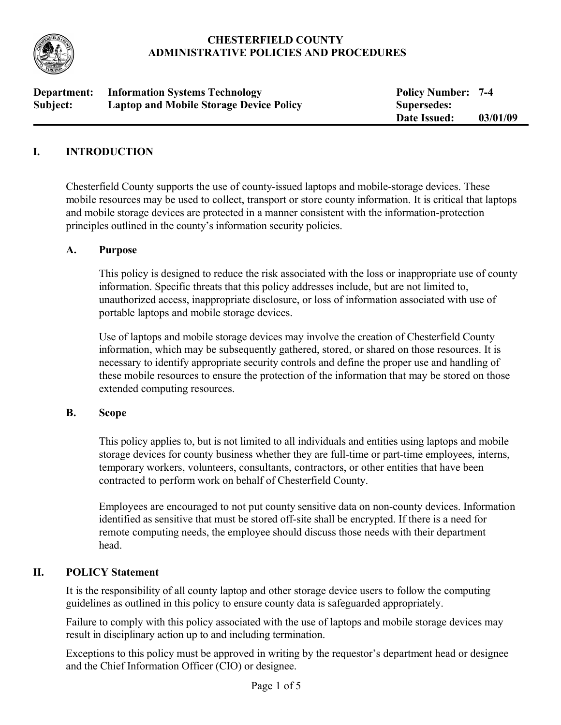

# **CHESTERFIELD COUNTY ADMINISTRATIVE POLICIES AND PROCEDURES**

| Department: | <b>Information Systems Technology</b>          | <b>Policy Number: 7-4</b> |          |
|-------------|------------------------------------------------|---------------------------|----------|
| Subject:    | <b>Laptop and Mobile Storage Device Policy</b> | <b>Supersedes:</b>        |          |
|             |                                                | Date Issued:              | 03/01/09 |

# **I. INTRODUCTION**

Chesterfield County supports the use of county-issued laptops and mobile-storage devices. These mobile resources may be used to collect, transport or store county information. It is critical that laptops and mobile storage devices are protected in a manner consistent with the information-protection principles outlined in the county's information security policies.

### **A. Purpose**

This policy is designed to reduce the risk associated with the loss or inappropriate use of county information. Specific threats that this policy addresses include, but are not limited to, unauthorized access, inappropriate disclosure, or loss of information associated with use of portable laptops and mobile storage devices.

Use of laptops and mobile storage devices may involve the creation of Chesterfield County information, which may be subsequently gathered, stored, or shared on those resources. It is necessary to identify appropriate security controls and define the proper use and handling of these mobile resources to ensure the protection of the information that may be stored on those extended computing resources.

### **B. Scope**

This policy applies to, but is not limited to all individuals and entities using laptops and mobile storage devices for county business whether they are full-time or part-time employees, interns, temporary workers, volunteers, consultants, contractors, or other entities that have been contracted to perform work on behalf of Chesterfield County.

Employees are encouraged to not put county sensitive data on non-county devices. Information identified as sensitive that must be stored off-site shall be encrypted. If there is a need for remote computing needs, the employee should discuss those needs with their department head.

### **II. POLICY Statement**

It is the responsibility of all county laptop and other storage device users to follow the computing guidelines as outlined in this policy to ensure county data is safeguarded appropriately.

Failure to comply with this policy associated with the use of laptops and mobile storage devices may result in disciplinary action up to and including termination.

Exceptions to this policy must be approved in writing by the requestor's department head or designee and the Chief Information Officer (CIO) or designee.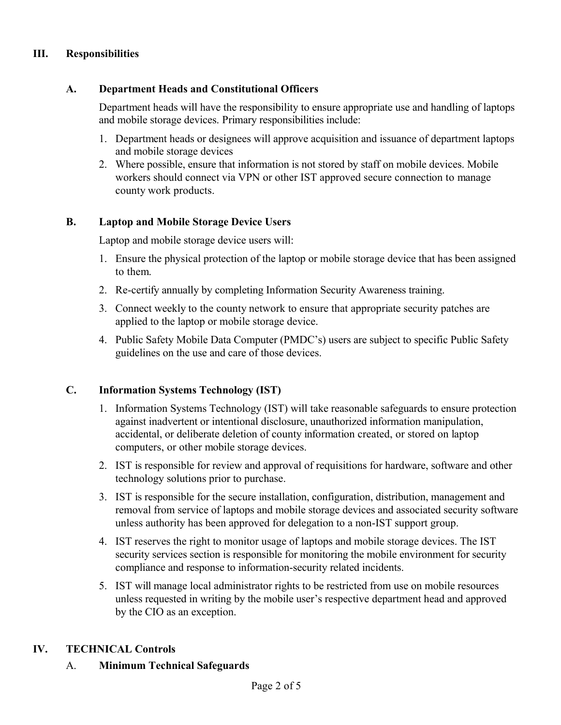# **III. Responsibilities**

# **A. Department Heads and Constitutional Officers**

Department heads will have the responsibility to ensure appropriate use and handling of laptops and mobile storage devices. Primary responsibilities include:

- 1. Department heads or designees will approve acquisition and issuance of department laptops and mobile storage devices
- 2. Where possible, ensure that information is not stored by staff on mobile devices. Mobile workers should connect via VPN or other IST approved secure connection to manage county work products.

# **B. Laptop and Mobile Storage Device Users**

Laptop and mobile storage device users will:

- 1. Ensure the physical protection of the laptop or mobile storage device that has been assigned to them.
- 2. Re-certify annually by completing Information Security Awareness training.
- 3. Connect weekly to the county network to ensure that appropriate security patches are applied to the laptop or mobile storage device.
- 4. Public Safety Mobile Data Computer (PMDC's) users are subject to specific Public Safety guidelines on the use and care of those devices.

# **C. Information Systems Technology (IST)**

- 1. Information Systems Technology (IST) will take reasonable safeguards to ensure protection against inadvertent or intentional disclosure, unauthorized information manipulation, accidental, or deliberate deletion of county information created, or stored on laptop computers, or other mobile storage devices.
- 2. IST is responsible for review and approval of requisitions for hardware, software and other technology solutions prior to purchase.
- 3. IST is responsible for the secure installation, configuration, distribution, management and removal from service of laptops and mobile storage devices and associated security software unless authority has been approved for delegation to a non-IST support group.
- 4. IST reserves the right to monitor usage of laptops and mobile storage devices. The IST security services section is responsible for monitoring the mobile environment for security compliance and response to information-security related incidents.
- 5. IST will manage local administrator rights to be restricted from use on mobile resources unless requested in writing by the mobile user's respective department head and approved by the CIO as an exception.

### **IV. TECHNICAL Controls**

### A. **Minimum Technical Safeguards**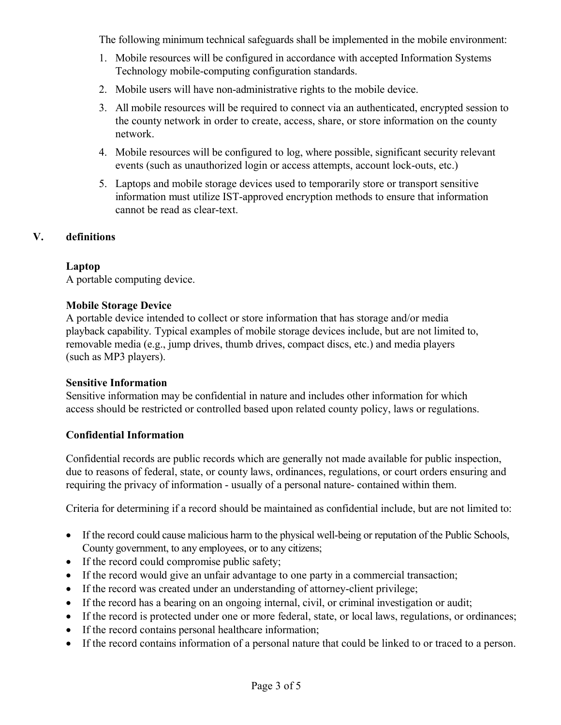The following minimum technical safeguards shall be implemented in the mobile environment:

- 1. Mobile resources will be configured in accordance with accepted Information Systems Technology mobile-computing configuration standards.
- 2. Mobile users will have non-administrative rights to the mobile device.
- 3. All mobile resources will be required to connect via an authenticated, encrypted session to the county network in order to create, access, share, or store information on the county network.
- 4. Mobile resources will be configured to log, where possible, significant security relevant events (such as unauthorized login or access attempts, account lock-outs, etc.)
- 5. Laptops and mobile storage devices used to temporarily store or transport sensitive information must utilize IST-approved encryption methods to ensure that information cannot be read as clear-text.

### **V. definitions**

### **Laptop**

A portable computing device.

### **Mobile Storage Device**

A portable device intended to collect or store information that has storage and/or media playback capability. Typical examples of mobile storage devices include, but are not limited to, removable media (e.g., jump drives, thumb drives, compact discs, etc.) and media players (such as MP3 players).

#### **Sensitive Information**

Sensitive information may be confidential in nature and includes other information for which access should be restricted or controlled based upon related county policy, laws or regulations.

### **Confidential Information**

Confidential records are public records which are generally not made available for public inspection, due to reasons of federal, state, or county laws, ordinances, regulations, or court orders ensuring and requiring the privacy of information - usually of a personal nature- contained within them.

Criteria for determining if a record should be maintained as confidential include, but are not limited to:

- If the record could cause malicious harm to the physical well-being or reputation of the Public Schools, County government, to any employees, or to any citizens;
- If the record could compromise public safety;
- If the record would give an unfair advantage to one party in a commercial transaction;
- If the record was created under an understanding of attorney-client privilege;
- If the record has a bearing on an ongoing internal, civil, or criminal investigation or audit;
- If the record is protected under one or more federal, state, or local laws, regulations, or ordinances;
- If the record contains personal healthcare information;
- If the record contains information of a personal nature that could be linked to or traced to a person.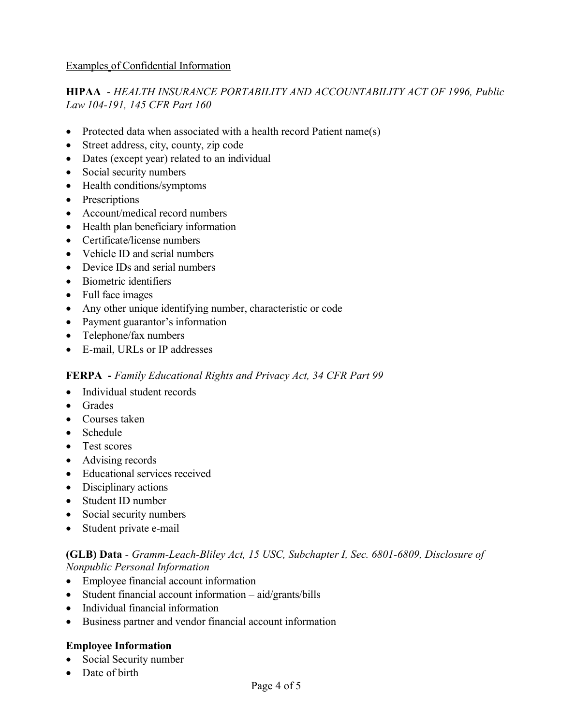# **HIPAA** - *HEALTH INSURANCE PORTABILITY AND ACCOUNTABILITY ACT OF 1996, Public Law 104-191, 145 CFR Part 160*

- Protected data when associated with a health record Patient name(s)
- Street address, city, county, zip code
- Dates (except year) related to an individual
- Social security numbers
- Health conditions/symptoms
- Prescriptions
- Account/medical record numbers
- Health plan beneficiary information
- Certificate/license numbers
- Vehicle ID and serial numbers
- Device IDs and serial numbers
- Biometric identifiers
- Full face images
- Any other unique identifying number, characteristic or code
- Payment guarantor's information
- Telephone/fax numbers
- E-mail, URLs or IP addresses

### **FERPA -** *Family Educational Rights and Privacy Act, 34 CFR Part 99*

- Individual student records
- Grades
- Courses taken
- Schedule
- Test scores
- Advising records
- Educational services received
- Disciplinary actions
- Student ID number
- Social security numbers
- Student private e-mail

### **(GLB) Data** - *Gramm-Leach-Bliley Act, 15 USC, Subchapter I, Sec. 6801-6809, Disclosure of Nonpublic Personal Information*

- Employee financial account information
- Student financial account information aid/grants/bills
- Individual financial information
- Business partner and vendor financial account information

### **Employee Information**

- Social Security number
- Date of birth